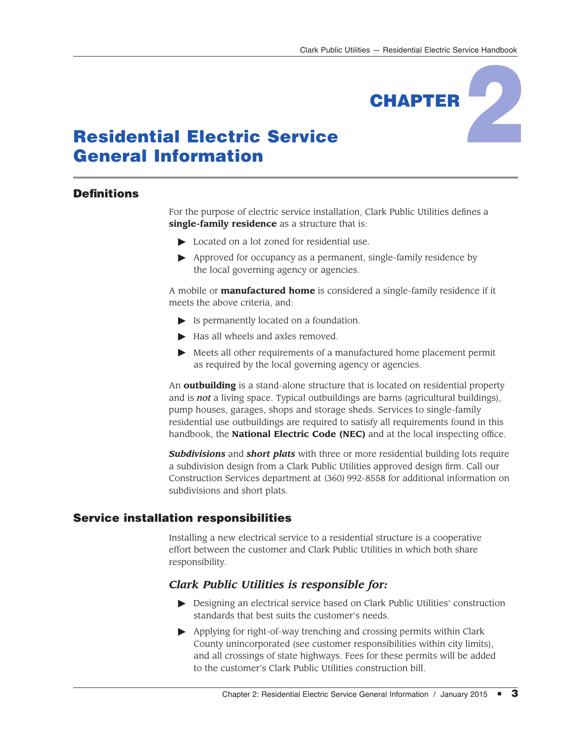

# Residential Electric Service General Information

## **Definitions**

For the purpose of electric service installation, Clark Public Utilities defines a **single-family residence** as a structure that is:

- $\triangleright$  Located on a lot zoned for residential use.
- $\blacktriangleright$  Approved for occupancy as a permanent, single-family residence by the local governing agency or agencies.

A mobile or **manufactured home** is considered a single-family residence if it meets the above criteria, and:

- $\blacktriangleright$  Is permanently located on a foundation.
- $\blacktriangleright$  Has all wheels and axles removed.
- $\blacktriangleright$  Meets all other requirements of a manufactured home placement permit as required by the local governing agency or agencies.

An **outbuilding** is a stand-alone structure that is located on residential property and is *not* a living space. Typical outbuildings are barns (agricultural buildings), pump houses, garages, shops and storage sheds. Services to single-family residential use outbuildings are required to satisfy all requirements found in this handbook, the **National Electric Code (NEC)** and at the local inspecting office.

*Subdivisions* and *short plats* with three or more residential building lots require a subdivision design from a Clark Public Utilities approved design firm. Call our Construction Services department at (360) 992-8558 for additional information on subdivisions and short plats.

## Service installation responsibilities

Installing a new electrical service to a residential structure is a cooperative effort between the customer and Clark Public Utilities in which both share responsibility.

## *Clark Public Utilities is responsible for:*

- $\triangleright$  Designing an electrical service based on Clark Public Utilities' construction standards that best suits the customer's needs.
- $\blacktriangleright$  Applying for right-of-way trenching and crossing permits within Clark County unincorporated (see customer responsibilities within city limits), and all crossings of state highways. Fees for these permits will be added to the customer's Clark Public Utilities construction bill.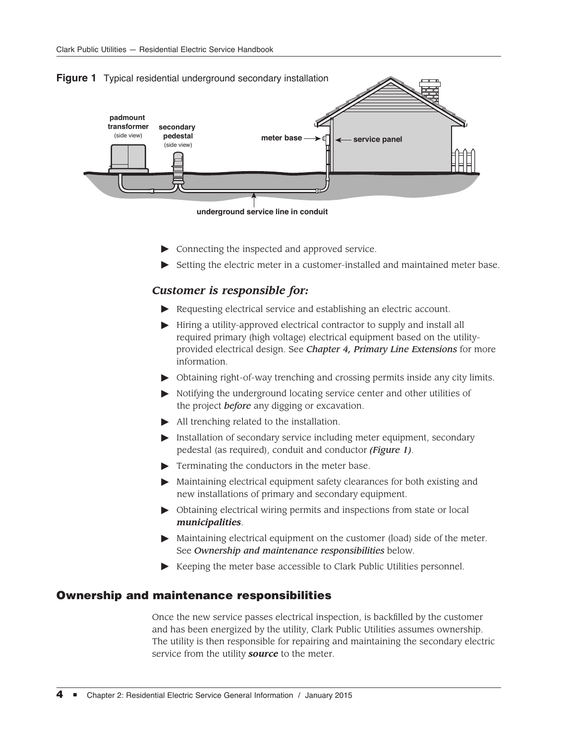



- $\triangleright$  Connecting the inspected and approved service.
- $\triangleright$  Setting the electric meter in a customer-installed and maintained meter base.

#### *Customer is responsible for:*

- $\blacktriangleright$  Requesting electrical service and establishing an electric account.
- $\blacktriangleright$  Hiring a utility-approved electrical contractor to supply and install all required primary (high voltage) electrical equipment based on the utilityprovided electrical design. See *Chapter 4, Primary Line Extensions* for more information.
- $\triangleright$  Obtaining right-of-way trenching and crossing permits inside any city limits.
- $\triangleright$  Notifying the underground locating service center and other utilities of the project *before* any digging or excavation.
- $\blacktriangleright$  All trenching related to the installation.
- Installation of secondary service including meter equipment, secondary pedestal (as required), conduit and conductor *(Figure 1)*.
- $\blacktriangleright$  Terminating the conductors in the meter base.
- $\blacktriangleright$  Maintaining electrical equipment safety clearances for both existing and new installations of primary and secondary equipment.
- $\triangleright$  Obtaining electrical wiring permits and inspections from state or local *municipalities*.
- $\blacktriangleright$  Maintaining electrical equipment on the customer (load) side of the meter. See *Ownership and maintenance responsibilities* below.
- $\blacktriangleright$  Keeping the meter base accessible to Clark Public Utilities personnel.

#### Ownership and maintenance responsibilities

Once the new service passes electrical inspection, is backfilled by the customer and has been energized by the utility, Clark Public Utilities assumes ownership. The utility is then responsible for repairing and maintaining the secondary electric service from the utility *source* to the meter.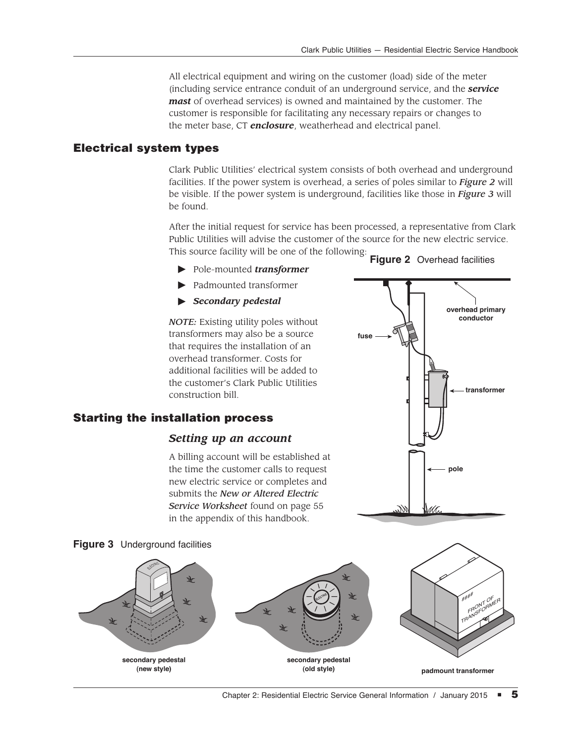All electrical equipment and wiring on the customer (load) side of the meter (including service entrance conduit of an underground service, and the *service mast* of overhead services) is owned and maintained by the customer. The customer is responsible for facilitating any necessary repairs or changes to the meter base, CT *enclosure*, weatherhead and electrical panel.

#### Electrical system types

Clark Public Utilities' electrical system consists of both overhead and underground facilities. If the power system is overhead, a series of poles similar to *Figure 2* will be visible. If the power system is underground, facilities like those in *Figure 3* will be found.

After the initial request for service has been processed, a representative from Clark Public Utilities will advise the customer of the source for the new electric service. This source facility will be one of the following: **Figure 2** Overhead facilities

**fuse**

- #Pole-mounted *transformer*
- $\blacktriangleright$  Padmounted transformer
- $\blacktriangleright$  *Secondary pedestal*

*NOTE:* Existing utility poles without transformers may also be a source that requires the installation of an overhead transformer. Costs for additional facilities will be added to the customer's Clark Public Utilities construction bill.

#### Starting the installation process



**secondary pedestal (old style)**

**secondary pedestal (new style)**



**overhead primary conductor**

**transformer**

#### Chapter 2: Residential Electric Service General Information / January 2015  $\blacksquare$  5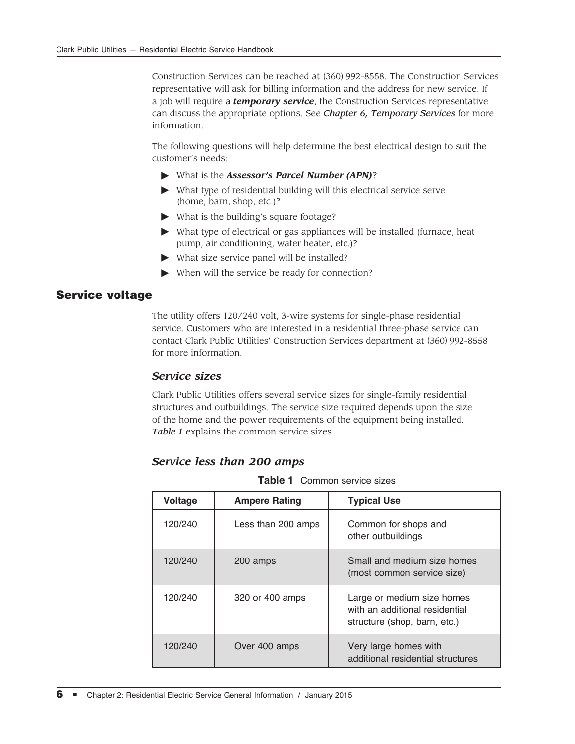Construction Services can be reached at (360) 992-8558. The Construction Services representative will ask for billing information and the address for new service. If a job will require a *temporary service*, the Construction Services representative can discuss the appropriate options. See *Chapter 6, Temporary Services* for more information.

The following questions will help determine the best electrical design to suit the customer's needs:

- #What is the *Assessor's Parcel Number (APN)*?
- $\blacktriangleright$  What type of residential building will this electrical service serve (home, barn, shop, etc.)?
- $\blacktriangleright$  What is the building's square footage?
- $\triangleright$  What type of electrical or gas appliances will be installed (furnace, heat pump, air conditioning, water heater, etc.)?
- $\blacktriangleright$  What size service panel will be installed?
- $\blacktriangleright$  When will the service be ready for connection?

## Service voltage

The utility offers 120/240 volt, 3-wire systems for single-phase residential service. Customers who are interested in a residential three-phase service can contact Clark Public Utilities' Construction Services department at (360) 992-8558 for more information.

## *Service sizes*

Clark Public Utilities offers several service sizes for single-family residential structures and outbuildings. The service size required depends upon the size of the home and the power requirements of the equipment being installed. *Table 1* explains the common service sizes.

#### *Service less than 200 amps*

**Table 1** Common service sizes

| <b>Voltage</b> | <b>Ampere Rating</b> | <b>Typical Use</b>                                                                           |
|----------------|----------------------|----------------------------------------------------------------------------------------------|
| 120/240        | Less than 200 amps   | Common for shops and<br>other outbuildings                                                   |
| 120/240        | 200 amps             | Small and medium size homes<br>(most common service size)                                    |
| 120/240        | 320 or 400 amps      | Large or medium size homes<br>with an additional residential<br>structure (shop, barn, etc.) |
| 120/240        | Over 400 amps        | Very large homes with<br>additional residential structures                                   |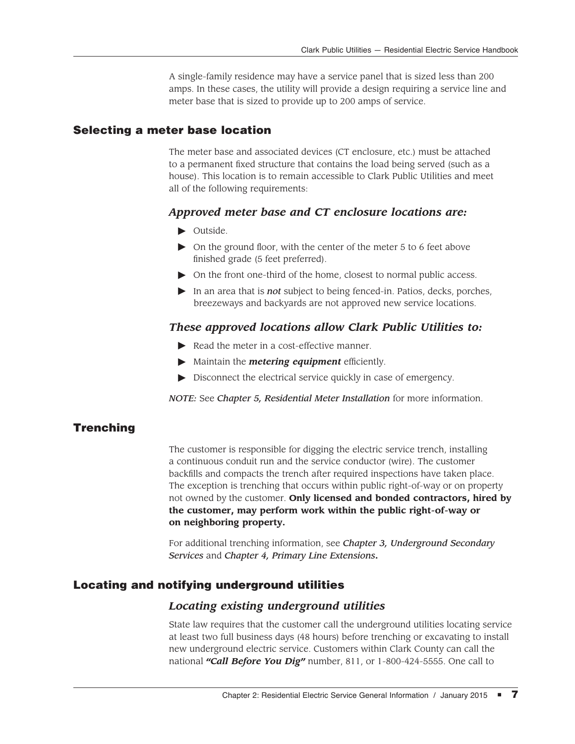A single-family residence may have a service panel that is sized less than 200 amps. In these cases, the utility will provide a design requiring a service line and meter base that is sized to provide up to 200 amps of service.

#### Selecting a meter base location

The meter base and associated devices (CT enclosure, etc.) must be attached to a permanent fixed structure that contains the load being served (such as a house). This location is to remain accessible to Clark Public Utilities and meet all of the following requirements:

#### *Approved meter base and CT enclosure locations are:*

- $\triangleright$  Outside.
- $\triangleright$  On the ground floor, with the center of the meter 5 to 6 feet above finished grade (5 feet preferred).
- $\triangleright$  On the front one-third of the home, closest to normal public access.
- In an area that is *not* subject to being fenced-in. Patios, decks, porches, breezeways and backyards are not approved new service locations.

#### *These approved locations allow Clark Public Utilities to:*

- $\blacktriangleright$  Read the meter in a cost-effective manner.
- $\blacktriangleright$  Maintain the *metering equipment* efficiently.
- $\triangleright$  Disconnect the electrical service quickly in case of emergency.

*NOTE:* See *Chapter 5, Residential Meter Installation* for more information.

#### Trenching

The customer is responsible for digging the electric service trench, installing a continuous conduit run and the service conductor (wire). The customer backfills and compacts the trench after required inspections have taken place. The exception is trenching that occurs within public right-of-way or on property not owned by the customer. **Only licensed and bonded contractors, hired by the customer, may perform work within the public right-of-way or on neighboring property.**

For additional trenching information, see *Chapter 3, Underground Secondary Services* and *Chapter 4, Primary Line Extensions***.**

#### Locating and notifying underground utilities

#### *Locating existing underground utilities*

State law requires that the customer call the underground utilities locating service at least two full business days (48 hours) before trenching or excavating to install new underground electric service. Customers within Clark County can call the national *"Call Before You Dig"* number, 811, or 1-800-424-5555. One call to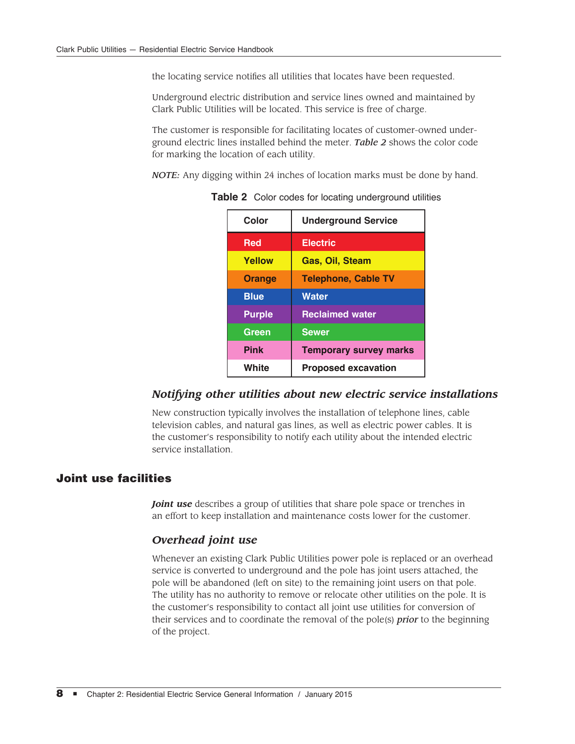the locating service notifies all utilities that locates have been requested.

Underground electric distribution and service lines owned and maintained by Clark Public Utilities will be located. This service is free of charge.

The customer is responsible for facilitating locates of customer-owned underground electric lines installed behind the meter. *Table 2* shows the color code for marking the location of each utility.

*NOTE:* Any digging within 24 inches of location marks must be done by hand.

| Color         | <b>Underground Service</b>    |  |
|---------------|-------------------------------|--|
| <b>Red</b>    | <b>Electric</b>               |  |
| <b>Yellow</b> | <b>Gas, Oil, Steam</b>        |  |
| <b>Orange</b> | <b>Telephone, Cable TV</b>    |  |
| <b>Blue</b>   | <b>Water</b>                  |  |
| <b>Purple</b> | <b>Reclaimed water</b>        |  |
| Green         | <b>Sewer</b>                  |  |
| <b>Pink</b>   | <b>Temporary survey marks</b> |  |
| White         | <b>Proposed excavation</b>    |  |

**Table 2** Color codes for locating underground utilities

#### *Notifying other utilities about new electric service installations*

New construction typically involves the installation of telephone lines, cable television cables, and natural gas lines, as well as electric power cables. It is the customer's responsibility to notify each utility about the intended electric service installation.

## Joint use facilities

*Joint use* describes a group of utilities that share pole space or trenches in an effort to keep installation and maintenance costs lower for the customer.

#### *Overhead joint use*

Whenever an existing Clark Public Utilities power pole is replaced or an overhead service is converted to underground and the pole has joint users attached, the pole will be abandoned (left on site) to the remaining joint users on that pole. The utility has no authority to remove or relocate other utilities on the pole. It is the customer's responsibility to contact all joint use utilities for conversion of their services and to coordinate the removal of the pole(s) *prior* to the beginning of the project.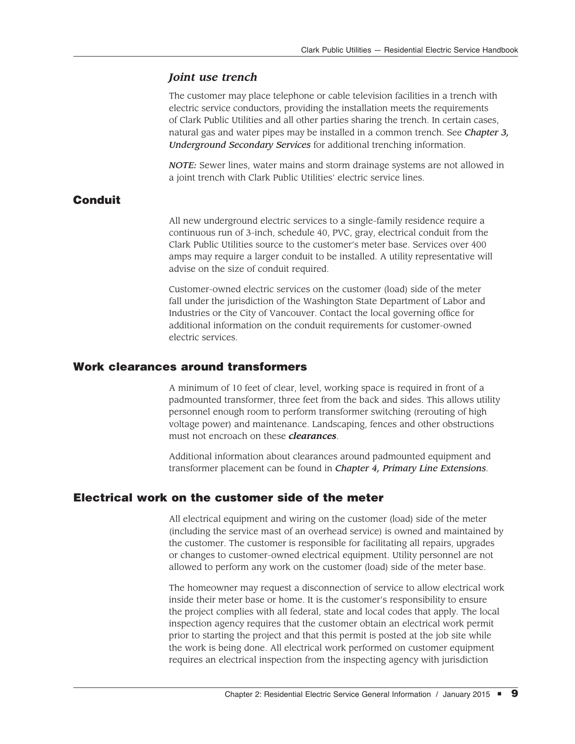#### *Joint use trench*

The customer may place telephone or cable television facilities in a trench with electric service conductors, providing the installation meets the requirements of Clark Public Utilities and all other parties sharing the trench. In certain cases, natural gas and water pipes may be installed in a common trench. See *Chapter 3, Underground Secondary Services* for additional trenching information.

*NOTE:* Sewer lines, water mains and storm drainage systems are not allowed in a joint trench with Clark Public Utilities' electric service lines.

## **Conduit**

All new underground electric services to a single-family residence require a continuous run of 3-inch, schedule 40, PVC, gray, electrical conduit from the Clark Public Utilities source to the customer's meter base. Services over 400 amps may require a larger conduit to be installed. A utility representative will advise on the size of conduit required.

Customer-owned electric services on the customer (load) side of the meter fall under the jurisdiction of the Washington State Department of Labor and Industries or the City of Vancouver. Contact the local governing office for additional information on the conduit requirements for customer-owned electric services.

## Work clearances around transformers

A minimum of 10 feet of clear, level, working space is required in front of a padmounted transformer, three feet from the back and sides. This allows utility personnel enough room to perform transformer switching (rerouting of high voltage power) and maintenance. Landscaping, fences and other obstructions must not encroach on these *clearances*.

Additional information about clearances around padmounted equipment and transformer placement can be found in *Chapter 4, Primary Line Extensions*.

#### Electrical work on the customer side of the meter

All electrical equipment and wiring on the customer (load) side of the meter (including the service mast of an overhead service) is owned and maintained by the customer. The customer is responsible for facilitating all repairs, upgrades or changes to customer-owned electrical equipment. Utility personnel are not allowed to perform any work on the customer (load) side of the meter base.

The homeowner may request a disconnection of service to allow electrical work inside their meter base or home. It is the customer's responsibility to ensure the project complies with all federal, state and local codes that apply. The local inspection agency requires that the customer obtain an electrical work permit prior to starting the project and that this permit is posted at the job site while the work is being done. All electrical work performed on customer equipment requires an electrical inspection from the inspecting agency with jurisdiction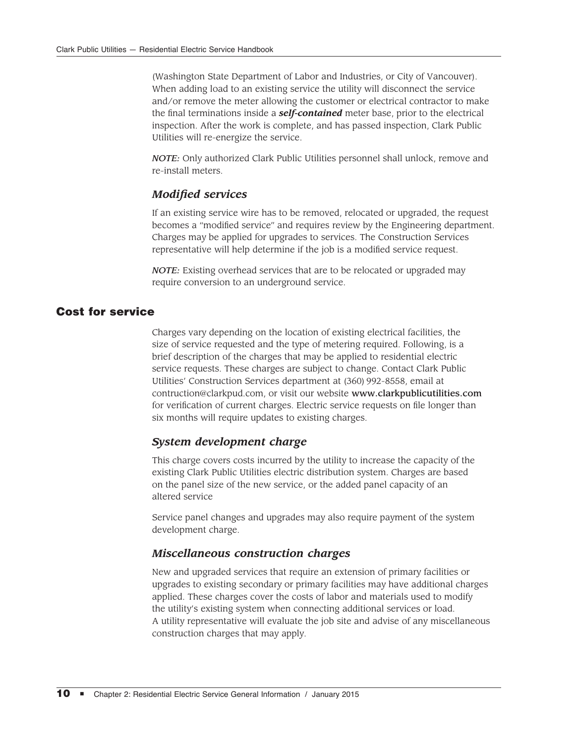(Washington State Department of Labor and Industries, or City of Vancouver). When adding load to an existing service the utility will disconnect the service and/or remove the meter allowing the customer or electrical contractor to make the final terminations inside a *self-contained* meter base, prior to the electrical inspection. After the work is complete, and has passed inspection, Clark Public Utilities will re-energize the service.

*NOTE:* Only authorized Clark Public Utilities personnel shall unlock, remove and re-install meters.

## *Modified services*

If an existing service wire has to be removed, relocated or upgraded, the request becomes a "modified service" and requires review by the Engineering department. Charges may be applied for upgrades to services. The Construction Services representative will help determine if the job is a modified service request.

*NOTE:* Existing overhead services that are to be relocated or upgraded may require conversion to an underground service.

#### Cost for service

Charges vary depending on the location of existing electrical facilities, the size of service requested and the type of metering required. Following, is a brief description of the charges that may be applied to residential electric service requests. These charges are subject to change. Contact Clark Public Utilities' Construction Services department at (360) 992-8558, email at contruction@clarkpud.com, or visit our website www.clarkpublicutilities.com for verification of current charges. Electric service requests on file longer than six months will require updates to existing charges.

#### *System development charge*

This charge covers costs incurred by the utility to increase the capacity of the existing Clark Public Utilities electric distribution system. Charges are based on the panel size of the new service, or the added panel capacity of an altered service

Service panel changes and upgrades may also require payment of the system development charge.

#### *Miscellaneous construction charges*

New and upgraded services that require an extension of primary facilities or upgrades to existing secondary or primary facilities may have additional charges applied. These charges cover the costs of labor and materials used to modify the utility's existing system when connecting additional services or load. A utility representative will evaluate the job site and advise of any miscellaneous construction charges that may apply.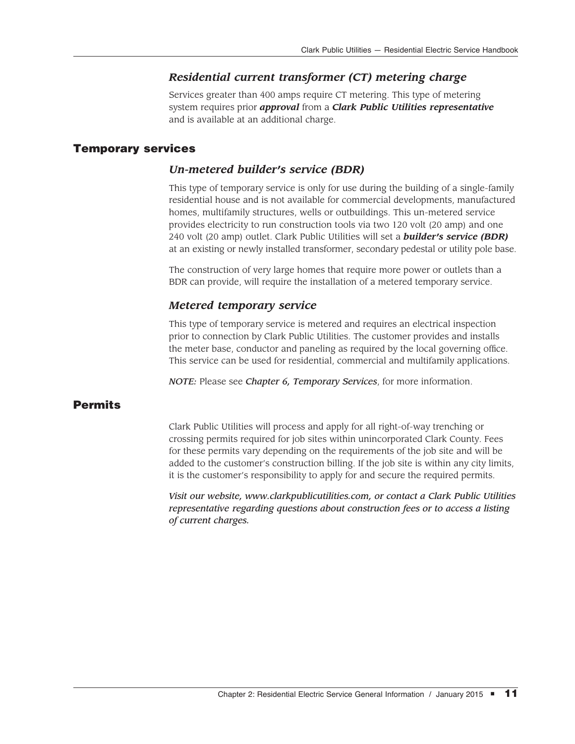## *Residential current transformer (CT) metering charge*

Services greater than 400 amps require CT metering. This type of metering system requires prior *approval* from a *Clark Public Utilities representative* and is available at an additional charge.

## Temporary services

## *Un-metered builder's service (BDR)*

This type of temporary service is only for use during the building of a single-family residential house and is not available for commercial developments, manufactured homes, multifamily structures, wells or outbuildings. This un-metered service provides electricity to run construction tools via two 120 volt (20 amp) and one 240 volt (20 amp) outlet. Clark Public Utilities will set a *builder's service (BDR)* at an existing or newly installed transformer, secondary pedestal or utility pole base.

The construction of very large homes that require more power or outlets than a BDR can provide, will require the installation of a metered temporary service.

## *Metered temporary service*

This type of temporary service is metered and requires an electrical inspection prior to connection by Clark Public Utilities. The customer provides and installs the meter base, conductor and paneling as required by the local governing office. This service can be used for residential, commercial and multifamily applications.

*NOTE:* Please see *Chapter 6, Temporary Services*, for more information.

## **Permits**

Clark Public Utilities will process and apply for all right-of-way trenching or crossing permits required for job sites within unincorporated Clark County. Fees for these permits vary depending on the requirements of the job site and will be added to the customer's construction billing. If the job site is within any city limits, it is the customer's responsibility to apply for and secure the required permits.

*Visit our website, www.clarkpublicutilities.com, or contact a Clark Public Utilities representative regarding questions about construction fees or to access a listing of current charges.*